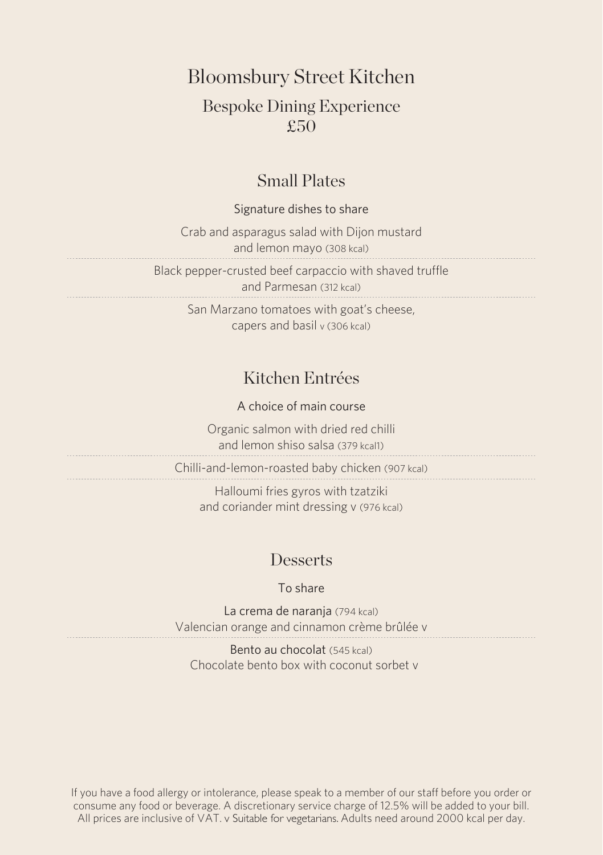Bloomsbury Street Kitchen

### Bespoke Dining Experience £50

#### Small Plates

#### Signature dishes to share

Crab and asparagus salad with Dijon mustard and lemon mayo (308 kcal)

Black pepper-crusted beef carpaccio with shaved truffle and Parmesan (312 kcal)

San Marzano tomatoes with goat's cheese, capers and basil v (306 kcal)

## Kitchen Entrées

A choice of main course

Organic salmon with dried red chilli and lemon shiso salsa (379 kcal1)

Chilli-and-lemon-roasted baby chicken (907 kcal)

Halloumi fries gyros with tzatziki and coriander mint dressing v (976 kcal)

#### **Desserts**

To share

La crema de narania (794 kcal) Valencian orange and cinnamon crème brûlée v

Bento au chocolat (545 kcal) Chocolate bento box with coconut sorbet v

If you have a food allergy or intolerance, please speak to a member of our staff before you order or consume any food or beverage. A discretionary service charge of 12.5% will be added to your bill. All prices are inclusive of VAT. v Suitable for vegetarians. Adults need around 2000 kcal per day.